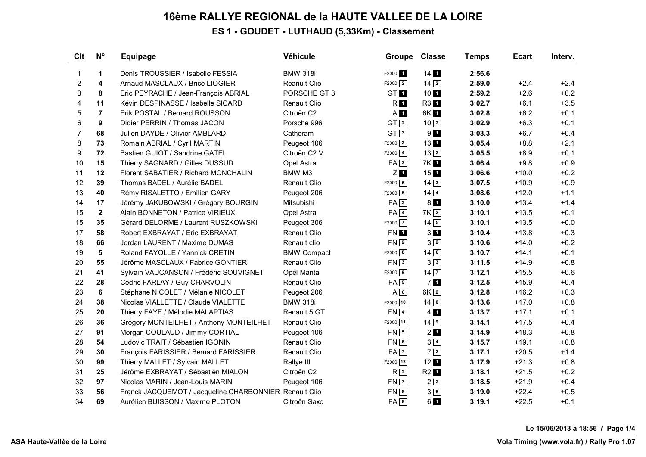## **16ème RALLYE REGIONAL de la HAUTE VALLEE DE LA LOIRE ES 1 - GOUDET - LUTHAUD (5,33Km) - Classement**

| <b>Clt</b>     | $N^{\circ}$    | <b>Equipage</b>                                        | Véhicule            | <b>Groupe</b>        | <b>Classe</b>               | <b>Temps</b> | <b>Ecart</b> | Interv. |
|----------------|----------------|--------------------------------------------------------|---------------------|----------------------|-----------------------------|--------------|--------------|---------|
| 1              | $\mathbf 1$    | Denis TROUSSIER / Isabelle FESSIA                      | <b>BMW 318i</b>     | F2000 <sub>1</sub>   | $14$ $\blacksquare$         | 2:56.6       |              |         |
| 2              | 4              | Arnaud MASCLAUX / Brice LIOGIER                        | <b>Reanult Clio</b> | $F2000$ <sup>2</sup> | $14\overline{2}$            | 2:59.0       | $+2.4$       | $+2.4$  |
| 3              | 8              | Eric PEYRACHE / Jean-François ABRIAL                   | PORSCHE GT 3        | GT <b>M</b>          | 10 <sub>1</sub>             | 2:59.2       | $+2.6$       | $+0.2$  |
| 4              | 11             | Kévin DESPINASSE / Isabelle SICARD                     | <b>Renault Clio</b> | R1                   | R3 1                        | 3:02.7       | $+6.1$       | $+3.5$  |
| 5              | $\overline{7}$ | Erik POSTAL / Bernard ROUSSON                          | Citroën C2          | $A$ 1                | 6K 1                        | 3:02.8       | $+6.2$       | $+0.1$  |
| 6              | 9              | Didier PERRIN / Thomas JACON                           | Porsche 996         | GT <sub>2</sub>      | 10 <sup>2</sup>             | 3:02.9       | $+6.3$       | $+0.1$  |
| $\overline{7}$ | 68             | Julien DAYDE / Olivier AMBLARD                         | Catheram            | GT <sup>3</sup>      | 9 <sub>1</sub>              | 3:03.3       | $+6.7$       | $+0.4$  |
| 8              | 73             | Romain ABRIAL / Cyril MARTIN                           | Peugeot 106         | $F2000$ 3            | 13 1                        | 3:05.4       | $+8.8$       | $+2.1$  |
| 9              | 72             | Bastien GUIOT / Sandrine GATEL                         | Citroën C2 V        | $F2000$ $\boxed{4}$  | $13\sqrt{2}$                | 3:05.5       | $+8.9$       | $+0.1$  |
| 10             | 15             | Thierry SAGNARD / Gilles DUSSUD                        | Opel Astra          | $FA$ $2$             | 7K 1                        | 3:06.4       | $+9.8$       | $+0.9$  |
| 11             | 12             | Florent SABATIER / Richard MONCHALIN                   | BMW M3              | ZI 1                 | $15$ 1                      | 3:06.6       | $+10.0$      | $+0.2$  |
| 12             | 39             | Thomas BADEL / Aurélie BADEL                           | <b>Renault Clio</b> | $F2000$ 5            | $14\overline{3}$            | 3:07.5       | $+10.9$      | $+0.9$  |
| 13             | 40             | Rémy RISALETTO / Emilien GARY                          | Peugeot 206         | $F2000$ 6            | $14\boxed{4}$               | 3:08.6       | $+12.0$      | $+1.1$  |
| 14             | 17             | Jérémy JAKUBOWSKI / Grégory BOURGIN                    | Mitsubishi          | FA3                  | $8$ $\blacksquare$          | 3:10.0       | $+13.4$      | $+1.4$  |
| 15             | $\mathbf{2}$   | Alain BONNETON / Patrice VIRIEUX                       | Opel Astra          | $FA$ <sup>4</sup>    | 7K <sub>2</sub>             | 3:10.1       | $+13.5$      | $+0.1$  |
| 15             | 35             | Gérard DELORME / Laurent RUSZKOWSKI                    | Peugeot 306         | $F2000$ $\boxed{7}$  | $14\overline{5}$            | 3:10.1       | $+13.5$      | $+0.0$  |
| 17             | 58             | Robert EXBRAYAT / Eric EXBRAYAT                        | Renault Clio        | FN <b>1</b>          | 3 <sub>1</sub>              | 3:10.4       | $+13.8$      | $+0.3$  |
| 18             | 66             | Jordan LAURENT / Maxime DUMAS                          | Renault clio        | $FN$ 2               | $3\sqrt{2}$                 | 3:10.6       | $+14.0$      | $+0.2$  |
| 19             | 5              | Roland FAYOLLE / Yannick CRETIN                        | <b>BMW Compact</b>  | $F2000$ 8            | $14$ 6                      | 3:10.7       | $+14.1$      | $+0.1$  |
| 20             | 55             | Jérôme MASCLAUX / Fabrice GONTIER                      | <b>Renault Clio</b> | $FN \overline{3}$    | $3\sqrt{3}$                 | 3:11.5       | $+14.9$      | $+0.8$  |
| 21             | 41             | Sylvain VAUCANSON / Frédéric SOUVIGNET                 | Opel Manta          | $F2000$ 9            | $14\overline{7}$            | 3:12.1       | $+15.5$      | $+0.6$  |
| 22             | 28             | Cédric FARLAY / Guy CHARVOLIN                          | Renault Clio        | $FA$ 5               | 7 <sub>1</sub>              | 3:12.5       | $+15.9$      | $+0.4$  |
| 23             | 6              | Stéphane NICOLET / Mélanie NICOLET                     | Peugeot 206         | $A\sqrt{6}$          | $6K\sqrt{2}$                | 3:12.8       | $+16.2$      | $+0.3$  |
| 24             | 38             | Nicolas VIALLETTE / Claude VIALETTE                    | <b>BMW 318i</b>     | F2000 10             | $14 \overline{\mid 8 \mid}$ | 3:13.6       | $+17.0$      | $+0.8$  |
| 25             | 20             | Thierry FAYE / Mélodie MALAPTIAS                       | Renault 5 GT        | $FN$ <sup>4</sup>    | $4 \; 1$                    | 3:13.7       | $+17.1$      | $+0.1$  |
| 26             | 36             | Grégory MONTEILHET / Anthony MONTEILHET                | <b>Renault Clio</b> | F2000 11             | $14$ $9$                    | 3:14.1       | $+17.5$      | $+0.4$  |
| 27             | 91             | Morgan COULAUD / Jimmy CORTIAL                         | Peugeot 106         | $FN$ 5               | $2$ $\blacksquare$          | 3:14.9       | $+18.3$      | $+0.8$  |
| 28             | 54             | Ludovic TRAIT / Sébastien IGONIN                       | Renault Clio        | $FN$ 6               | $3\sqrt{4}$                 | 3:15.7       | $+19.1$      | $+0.8$  |
| 29             | 30             | François FARISSIER / Bernard FARISSIER                 | Renault Clio        | $FA$ $7$             | $7\vert 2 \vert$            | 3:17.1       | $+20.5$      | $+1.4$  |
| 30             | 99             | Thierry MALLET / Sylvain MALLET                        | Rallye III          | F2000 12             | $12$ 1                      | 3:17.9       | $+21.3$      | $+0.8$  |
| 31             | 25             | Jérôme EXBRAYAT / Sébastien MIALON                     | Citroën C2          | R <sup>2</sup>       | R2 <sup>1</sup>             | 3:18.1       | $+21.5$      | $+0.2$  |
| 32             | 97             | Nicolas MARIN / Jean-Louis MARIN                       | Peugeot 106         | $FN$ $ 7 $           | $2\sqrt{2}$                 | 3:18.5       | $+21.9$      | $+0.4$  |
| 33             | 56             | Franck JACQUEMOT / Jacqueline CHARBONNIER Renault Clio |                     | $FN$ $8$             | $3\sqrt{5}$                 | 3:19.0       | $+22.4$      | $+0.5$  |
| 34             | 69             | Aurélien BUISSON / Maxime PLOTON                       | Citroën Saxo        | $FA$ $8$             | 61                          | 3:19.1       | $+22.5$      | $+0.1$  |

**Le 15/06/2013 à 18:56 / Page 1/4**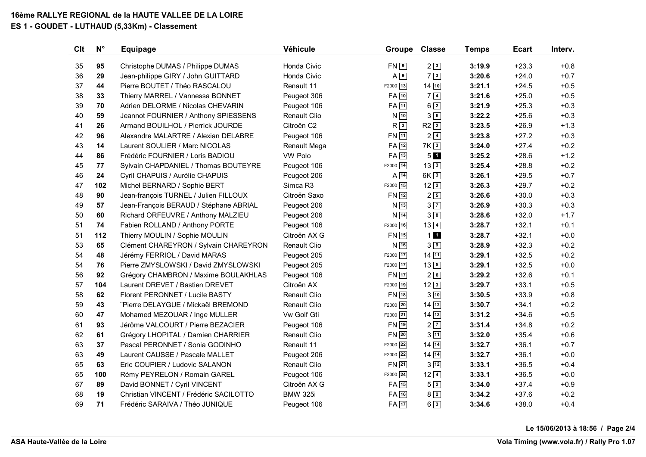## **16ème RALLYE REGIONAL de la HAUTE VALLEE DE LA LOIRE**

### **ES 1 - GOUDET - LUTHAUD (5,33Km) - Classement**

| Clt | $N^{\circ}$ | <b>Equipage</b>                        | Véhicule            | <b>Groupe</b>      | <b>Classe</b>      | <b>Temps</b> | <b>Ecart</b> | Interv. |
|-----|-------------|----------------------------------------|---------------------|--------------------|--------------------|--------------|--------------|---------|
| 35  | 95          | Christophe DUMAS / Philippe DUMAS      | Honda Civic         | $FN$ <sup>9</sup>  | 23                 | 3:19.9       | $+23.3$      | $+0.8$  |
| 36  | 29          | Jean-philippe GIRY / John GUITTARD     | Honda Civic         | $A \overline{9}$   | $7\sqrt{3}$        | 3:20.6       | $+24.0$      | $+0.7$  |
| 37  | 44          | Pierre BOUTET / Théo RASCALOU          | Renault 11          | F2000 13           | 14 10              | 3:21.1       | $+24.5$      | $+0.5$  |
| 38  | 33          | Thierry MARREL / Vannessa BONNET       | Peugeot 306         | $FA$ $10$          | $7\sqrt{4}$        | 3:21.6       | $+25.0$      | $+0.5$  |
| 39  | 70          | Adrien DELORME / Nicolas CHEVARIN      | Peugeot 106         | $FA$ $11$          | $6\sqrt{2}$        | 3:21.9       | $+25.3$      | $+0.3$  |
| 40  | 59          | Jeannot FOURNIER / Anthony SPIESSENS   | Renault Clio        | $N$ 10             | 36                 | 3:22.2       | $+25.6$      | $+0.3$  |
| 41  | 26          | Armand BOUILHOL / Pierrick JOURDE      | Citroën C2          | R <sup>3</sup>     | $R2\sqrt{2}$       | 3:23.5       | $+26.9$      | $+1.3$  |
| 42  | 96          | Alexandre MALARTRE / Alexian DELABRE   | Peugeot 106         | FN 11              | $2\sqrt{4}$        | 3:23.8       | $+27.2$      | $+0.3$  |
| 43  | 14          | Laurent SOULIER / Marc NICOLAS         | Renault Mega        | FA 12              | 7K <sub>3</sub>    | 3:24.0       | $+27.4$      | $+0.2$  |
| 44  | 86          | Frédéric FOURNIER / Loris BADIOU       | VW Polo             | FA 13              | 50                 | 3:25.2       | $+28.6$      | $+1.2$  |
| 45  | 77          | Sylvain CHAPDANIEL / Thomas BOUTEYRE   | Peugeot 106         | F2000 14           | $13\overline{3}$   | 3:25.4       | $+28.8$      | $+0.2$  |
| 46  | 24          | Cyril CHAPUIS / Aurélie CHAPUIS        | Peugeot 206         | $A\overline{14}$   | 6K <sup>3</sup>    | 3:26.1       | $+29.5$      | $+0.7$  |
| 47  | 102         | Michel BERNARD / Sophie BERT           | Simca R3            | F2000 15           | $12\sqrt{2}$       | 3:26.3       | $+29.7$      | $+0.2$  |
| 48  | 90          | Jean-françois TURNEL / Julien FILLOUX  | Citroën Saxo        | $FN$ 12            | $2\sqrt{5}$        | 3:26.6       | $+30.0$      | $+0.3$  |
| 49  | 57          | Jean-François BERAUD / Stéphane ABRIAL | Peugeot 206         | $N$ 13             | $3\sqrt{7}$        | 3:26.9       | $+30.3$      | $+0.3$  |
| 50  | 60          | Richard ORFEUVRE / Anthony MALZIEU     | Peugeot 206         | $N$ 14             | $3\sqrt{8}$        | 3:28.6       | $+32.0$      | $+1.7$  |
| 51  | 74          | Fabien ROLLAND / Anthony PORTE         | Peugeot 106         | F2000 16           | $13\sqrt{4}$       | 3:28.7       | $+32.1$      | $+0.1$  |
| 51  | 112         | Thierry MOULIN / Sophie MOULIN         | Citroën AX G        | $FN$ <sup>15</sup> | 11                 | 3:28.7       | $+32.1$      | $+0.0$  |
| 53  | 65          | Clément CHAREYRON / Sylvain CHAREYRON  | <b>Renault Clio</b> | $N$ 16             | $3\sqrt{9}$        | 3:28.9       | $+32.3$      | $+0.2$  |
| 54  | 48          | Jérémy FERRIOL / David MARAS           | Peugeot 205         | F2000 17           | $14$ $11$          | 3:29.1       | $+32.5$      | $+0.2$  |
| 54  | 76          | Pierre ZMYSLOWSKI / David ZMYSLOWSKI   | Peugeot 205         | F2000 17           | $13\sqrt{5}$       | 3:29.1       | $+32.5$      | $+0.0$  |
| 56  | 92          | Grégory CHAMBRON / Maxime BOULAKHLAS   | Peugeot 106         | $FN$ $17$          | $2\sqrt{6}$        | 3:29.2       | $+32.6$      | $+0.1$  |
| 57  | 104         | Laurent DREVET / Bastien DREVET        | Citroën AX          | F2000 19           | $12\sqrt{3}$       | 3:29.7       | $+33.1$      | $+0.5$  |
| 58  | 62          | Florent PERONNET / Lucile BASTY        | Renault Clio        | FN 18              | $3\sqrt{10}$       | 3:30.5       | $+33.9$      | $+0.8$  |
| 59  | 43          | "Pierre DELAYGUE / Mickaël BREMOND     | <b>Renault Clio</b> | F2000 20           | $14 \overline{12}$ | 3:30.7       | $+34.1$      | $+0.2$  |
| 60  | 47          | Mohamed MEZOUAR / Inge MULLER          | Vw Golf Gti         | $F2000$ 21         | $14\overline{13}$  | 3:31.2       | $+34.6$      | $+0.5$  |
| 61  | 93          | Jérôme VALCOURT / Pierre BEZACIER      | Peugeot 106         | FN 19              | $2\sqrt{7}$        | 3:31.4       | $+34.8$      | $+0.2$  |
| 62  | 61          | Grégory LHOPITAL / Damien CHARRIER     | <b>Renault Clio</b> | $FN$ 20            | $3\overline{11}$   | 3:32.0       | $+35.4$      | $+0.6$  |
| 63  | 37          | Pascal PERONNET / Sonia GODINHO        | Renault 11          | F2000 22           | $14\overline{)14}$ | 3:32.7       | $+36.1$      | $+0.7$  |
| 63  | 49          | Laurent CAUSSE / Pascale MALLET        | Peugeot 206         | F2000 22           | $14 \overline{14}$ | 3:32.7       | $+36.1$      | $+0.0$  |
| 65  | 63          | Eric COUPIER / Ludovic SALANON         | <b>Renault Clio</b> | $FN$ 21            | $3\sqrt{12}$       | 3:33.1       | $+36.5$      | $+0.4$  |
| 65  | 100         | Rémy PEYRELON / Romain GAREL           | Peugeot 106         | $F2000$ 24         | $12\sqrt{4}$       | 3:33.1       | $+36.5$      | $+0.0$  |
| 67  | 89          | David BONNET / Cyril VINCENT           | Citroën AX G        | $FA$ 15            | $5\sqrt{2}$        | 3:34.0       | $+37.4$      | $+0.9$  |
| 68  | 19          | Christian VINCENT / Frédéric SACILOTTO | <b>BMW 325i</b>     | $FA$ <sup>16</sup> | $8\sqrt{2}$        | 3:34.2       | $+37.6$      | $+0.2$  |
| 69  | 71          | Frédéric SARAIVA / Théo JUNIQUE        | Peugeot 106         | $FA$ <sup>17</sup> | $6\sqrt{3}$        | 3:34.6       | $+38.0$      | $+0.4$  |

**Le 15/06/2013 à 18:56 / Page 2/4**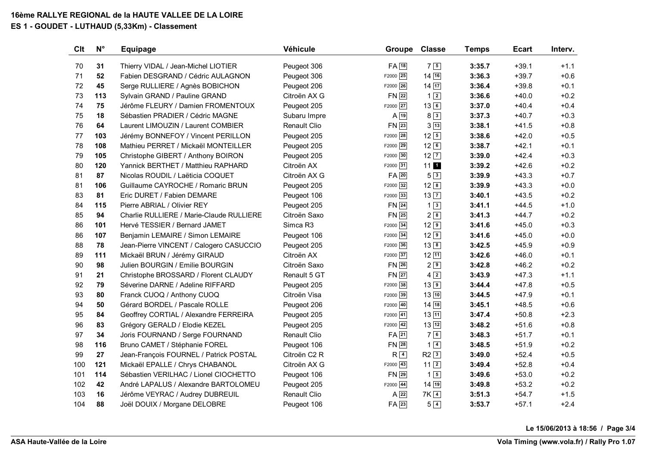# **16ème RALLYE REGIONAL de la HAUTE VALLEE DE LA LOIRE**

### **ES 1 - GOUDET - LUTHAUD (5,33Km) - Classement**

| Clt | $N^{\circ}$ | <b>Equipage</b>                          | Véhicule            | Groupe             | <b>Classe</b>    | <b>Temps</b> | <b>Ecart</b> | Interv. |
|-----|-------------|------------------------------------------|---------------------|--------------------|------------------|--------------|--------------|---------|
| 70  | 31          | Thierry VIDAL / Jean-Michel LIOTIER      | Peugeot 306         | $FA$ <sup>18</sup> | $7\vert 5 \vert$ | 3:35.7       | $+39.1$      | $+1.1$  |
| 71  | 52          | Fabien DESGRAND / Cédric AULAGNON        | Peugeot 306         | F2000 25           | 14 16            | 3:36.3       | $+39.7$      | $+0.6$  |
| 72  | 45          | Serge RULLIERE / Agnès BOBICHON          | Peugeot 206         | F2000 26           | 14 17            | 3:36.4       | $+39.8$      | $+0.1$  |
| 73  | 113         | Sylvain GRAND / Pauline GRAND            | Citroën AX G        | $FN$ 22            | $1\sqrt{2}$      | 3:36.6       | $+40.0$      | $+0.2$  |
| 74  | 75          | Jérôme FLEURY / Damien FROMENTOUX        | Peugeot 205         | F2000 27           | $13$ 6           | 3:37.0       | $+40.4$      | $+0.4$  |
| 75  | 18          | Sébastien PRADIER / Cédric MAGNE         | Subaru Impre        | $A$ <sup>19</sup>  | $8\sqrt{3}$      | 3:37.3       | $+40.7$      | $+0.3$  |
| 76  | 64          | Laurent LIMOUZIN / Laurent COMBIER       | Renault Clio        | $FN$ 23            | $3\sqrt{13}$     | 3:38.1       | $+41.5$      | $+0.8$  |
| 77  | 103         | Jérémy BONNEFOY / Vincent PERILLON       | Peugeot 205         | F2000 28           | $12\sqrt{5}$     | 3:38.6       | $+42.0$      | $+0.5$  |
| 78  | 108         | Mathieu PERRET / Mickaël MONTEILLER      | Peugeot 205         | F2000 29           | $12\sqrt{6}$     | 3:38.7       | $+42.1$      | $+0.1$  |
| 79  | 105         | Christophe GIBERT / Anthony BOIRON       | Peugeot 205         | $F2000$ 30         | $12\overline{7}$ | 3:39.0       | $+42.4$      | $+0.3$  |
| 80  | 120         | Yannick BERTHET / Matthieu RAPHARD       | Citroën AX          | F2000 31           | $11$ $1$         | 3:39.2       | $+42.6$      | $+0.2$  |
| 81  | 87          | Nicolas ROUDIL / Laëticia COQUET         | Citroën AX G        | $FA$ <sup>20</sup> | 53               | 3:39.9       | $+43.3$      | $+0.7$  |
| 81  | 106         | Guillaume CAYROCHE / Romaric BRUN        | Peugeot 205         | F2000 32           | $12^{8}$         | 3:39.9       | $+43.3$      | $+0.0$  |
| 83  | 81          | Eric DURET / Fabien DEMARE               | Peugeot 106         | F2000 33           | $13\overline{7}$ | 3:40.1       | $+43.5$      | $+0.2$  |
| 84  | 115         | Pierre ABRIAL / Olivier REY              | Peugeot 205         | FN 24              | $1\overline{3}$  | 3:41.1       | $+44.5$      | $+1.0$  |
| 85  | 94          | Charlie RULLIERE / Marie-Claude RULLIERE | Citroën Saxo        | $FN$ 25            | $2^{8}$          | 3:41.3       | $+44.7$      | $+0.2$  |
| 86  | 101         | Hervé TESSIER / Bernard JAMET            | Simca R3            | F2000 34           | 129              | 3:41.6       | $+45.0$      | $+0.3$  |
| 86  | 107         | Benjamin LEMAIRE / Simon LEMAIRE         | Peugeot 106         | F2000 34           | 129              | 3:41.6       | $+45.0$      | $+0.0$  |
| 88  | 78          | Jean-Pierre VINCENT / Calogero CASUCCIO  | Peugeot 205         | F2000 36           | $13\boxed{8}$    | 3:42.5       | $+45.9$      | $+0.9$  |
| 89  | 111         | Mickaël BRUN / Jérémy GIRAUD             | Citroën AX          | F2000 37           | 12 11            | 3:42.6       | $+46.0$      | $+0.1$  |
| 90  | 98          | Julien BOURGIN / Emilie BOURGIN          | Citroën Saxo        | $FN$ 26            | 29               | 3:42.8       | $+46.2$      | $+0.2$  |
| 91  | 21          | Christophe BROSSARD / Florent CLAUDY     | Renault 5 GT        | $FN$ 27            | $4\sqrt{2}$      | 3:43.9       | $+47.3$      | $+1.1$  |
| 92  | 79          | Séverine DARNE / Adeline RIFFARD         | Peugeot 205         | F2000 38           | $13\sqrt{9}$     | 3:44.4       | $+47.8$      | $+0.5$  |
| 93  | 80          | Franck CUOQ / Anthony CUOQ               | Citroën Visa        | F2000 39           | 13 10            | 3:44.5       | $+47.9$      | $+0.1$  |
| 94  | 50          | Gérard BORDEL / Pascale ROLLE            | Peugeot 206         | F2000 40           | 14 18            | 3:45.1       | $+48.5$      | $+0.6$  |
| 95  | 84          | Geoffrey CORTIAL / Alexandre FERREIRA    | Peugeot 205         | F2000 41           | 13 11            | 3:47.4       | $+50.8$      | $+2.3$  |
| 96  | 83          | Grégory GERALD / Elodie KEZEL            | Peugeot 205         | F2000 42           | 13 12            | 3:48.2       | $+51.6$      | $+0.8$  |
| 97  | 34          | Joris FOURNAND / Serge FOURNAND          | <b>Renault Clio</b> | $FA$ <sup>21</sup> | 76               | 3:48.3       | $+51.7$      | $+0.1$  |
| 98  | 116         | Bruno CAMET / Stéphanie FOREL            | Peugeot 106         | $FN$ 28            | $1\sqrt{4}$      | 3:48.5       | $+51.9$      | $+0.2$  |
| 99  | 27          | Jean-François FOURNEL / Patrick POSTAL   | Citroën C2 R        | R <sup>4</sup>     | $R2\sqrt{3}$     | 3:49.0       | $+52.4$      | $+0.5$  |
| 100 | 121         | Mickaël EPALLE / Chrys CHABANOL          | Citroën AX G        | F2000 43           | $11\overline{2}$ | 3:49.4       | $+52.8$      | $+0.4$  |
| 101 | 114         | Sébastien VERILHAC / Lionel CIOCHETTO    | Peugeot 106         | $FN$ 29            | $1\vert 5 \vert$ | 3:49.6       | $+53.0$      | $+0.2$  |
| 102 | 42          | André LAPALUS / Alexandre BARTOLOMEU     | Peugeot 205         | $F2000$ 44         | 14 19            | 3:49.8       | $+53.2$      | $+0.2$  |
| 103 | 16          | Jérôme VEYRAC / Audrey DUBREUIL          | Renault Clio        | $A$ 22             | $7K\sqrt{4}$     | 3:51.3       | $+54.7$      | $+1.5$  |
| 104 | 88          | Joël DOUIX / Morgane DELOBRE             | Peugeot 106         | $FA$ <sup>23</sup> | $5\vert 4$       | 3:53.7       | $+57.1$      | $+2.4$  |

**Le 15/06/2013 à 18:56 / Page 3/4**